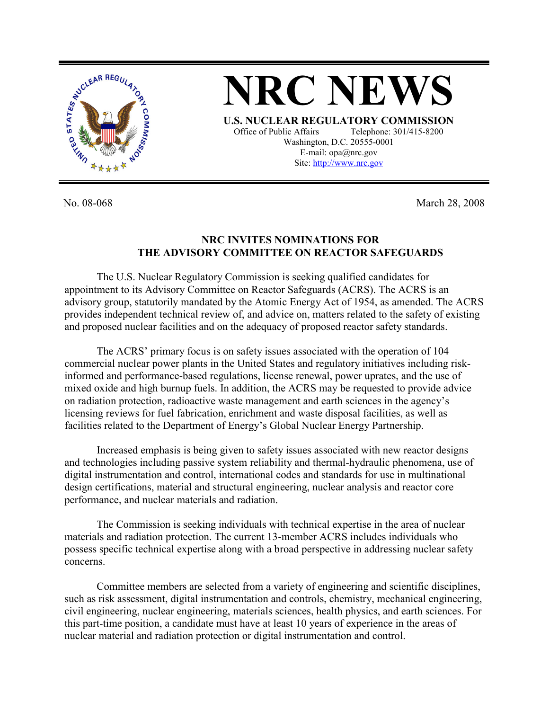

**NRC NEWS U.S. NUCLEAR REGULATORY COMMISSION**

Office of Public Affairs Telephone: 301/415-8200 Washington, D.C. 20555-0001 E-mail: opa@nrc.gov Site: http://www.nrc.gov

No. 08-068 March 28, 2008

## **NRC INVITES NOMINATIONS FOR THE ADVISORY COMMITTEE ON REACTOR SAFEGUARDS**

The U.S. Nuclear Regulatory Commission is seeking qualified candidates for appointment to its Advisory Committee on Reactor Safeguards (ACRS). The ACRS is an advisory group, statutorily mandated by the Atomic Energy Act of 1954, as amended. The ACRS provides independent technical review of, and advice on, matters related to the safety of existing and proposed nuclear facilities and on the adequacy of proposed reactor safety standards.

The ACRS' primary focus is on safety issues associated with the operation of 104 commercial nuclear power plants in the United States and regulatory initiatives including riskinformed and performance-based regulations, license renewal, power uprates, and the use of mixed oxide and high burnup fuels. In addition, the ACRS may be requested to provide advice on radiation protection, radioactive waste management and earth sciences in the agency's licensing reviews for fuel fabrication, enrichment and waste disposal facilities, as well as facilities related to the Department of Energy's Global Nuclear Energy Partnership.

Increased emphasis is being given to safety issues associated with new reactor designs and technologies including passive system reliability and thermal-hydraulic phenomena, use of digital instrumentation and control, international codes and standards for use in multinational design certifications, material and structural engineering, nuclear analysis and reactor core performance, and nuclear materials and radiation.

The Commission is seeking individuals with technical expertise in the area of nuclear materials and radiation protection. The current 13-member ACRS includes individuals who possess specific technical expertise along with a broad perspective in addressing nuclear safety concerns.

Committee members are selected from a variety of engineering and scientific disciplines, such as risk assessment, digital instrumentation and controls, chemistry, mechanical engineering, civil engineering, nuclear engineering, materials sciences, health physics, and earth sciences. For this part-time position, a candidate must have at least 10 years of experience in the areas of nuclear material and radiation protection or digital instrumentation and control.